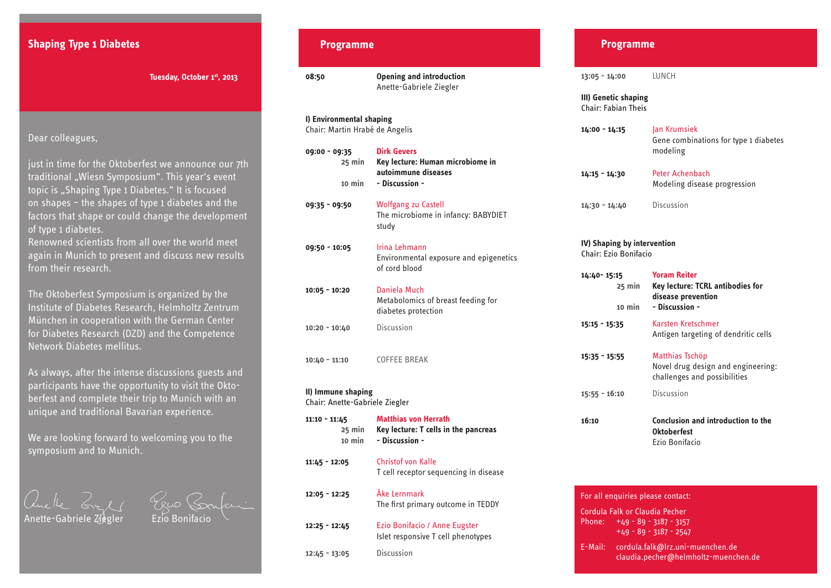# **Shaping Type 1 Diabetes**

## Dear colleagues,

just in time for the Oktoberfest we announce our 7th traditional "Wiesn Symposium". This year's event topic is "Shaping Type 1 Diabetes." It is focused on shapes – the shapes of type 1 diabetes and the factors that shape or could change the development of type 1 diabetes.

Renowned scientists from all over the world meet again in Munich to present and discuss new results from their research.

The Oktoberfest Symposium is organized by the Institute of Diabetes Research, Helmholtz Zentrum München in cooperation with the German Center for Diabetes Research (DZD) and the Competence Network Diabetes mellitus.

As always, after the intense discussions guests and participants have the opportunity to visit the Oktoberfest and complete their trip to Munich with an unique and traditional Bavarian experience.

We are looking forward to welcoming you to the symposium and to Munich.

Anette-Gabriele  $\vec{z}$ iegler

### **Programme**

 **Tuesday, October 1st, 2013 08:50 Opening and introduction** Anette-Gabriele Ziegler **I) Environmental shaping** Chair: Martin Hrabé de Angelis **09:00 - 09:35 Dirk Gevers 25 min Key lecture: Human microbiome in autoimmune diseases 10 min - Discussion - 09:35 - 09:50** Wolfgang zu Castell The microbiome in infancy: BABYDIET study **09:50 - 10:05** Irina Lehmann Environmental exposure and epigenetics of cord blood **10:05 - 10:20** Daniela Much Metabolomics of breast feeding for diabetes protection **10:20 - 10:40** Discussion **10:40 - 11:10** COFFEE BREAK

### **II) Immune shaping**

Chair: Anette-Gabriele Ziegler

| $11:10 - 11:45$<br>25 min<br>10 min | Matthias von Herrath<br>Key lecture: T cells in the pancreas<br>- Discussion - |
|-------------------------------------|--------------------------------------------------------------------------------|
| $11:45 - 12:05$                     | <b>Christof von Kalle</b><br>T cell receptor sequencing in disease             |
| $12:05 - 12:25$                     | Åke Lernmark<br>The first primary outcome in TEDDY                             |
| $12:25 - 12:45$                     | Ezio Bonifacio / Anne Eugster<br>Islet responsive T cell phenotypes            |
| $12:45 - 13:05$                     | Discussion                                                                     |

#### **Programme**

**13:05 - 14:00** LUNCH

**III) Genetic shaping** Chair: Fabian Theis

| $14:00 - 14:15$ | Jan Krumsiek                                      |
|-----------------|---------------------------------------------------|
|                 | Gene combinations for type 1 diabetes<br>modeling |
| $14:15 - 14:30$ | Peter Achenbach                                   |

Modeling disease progression

**14:30 - 14:40** Discussion

#### **IV) Shaping by intervention** Chair: Ezio Bonifacio

| 14:40-15:15<br>25 min | <b>Yoram Reiter</b><br>Key lecture: TCRL antibodies for<br>disease prevention         |
|-----------------------|---------------------------------------------------------------------------------------|
| 10 min                | - Discussion -                                                                        |
| 15:15 - 15:35         | Karsten Kretschmer<br>Antigen targeting of dendritic cells                            |
| 15:35 - 15:55         | Matthias Tschöp<br>Novel drug design and engineering:<br>challenges and possibilities |
| 15:55 - 16:10         | Discussion                                                                            |
| 16:10                 | Conclusion and introduction to the<br><b>Oktoberfest</b><br>Ezio Bonifacio            |
|                       |                                                                                       |

| For all enguiries please contact:                                                             |
|-----------------------------------------------------------------------------------------------|
| Cordula Falk or Claudia Pecher<br>Phone: $+49 - 89 - 3187 - 3157$<br>$+49 - 89 - 3187 - 2547$ |
| cordula.falk@lrz.uni-muenchen.de<br>E-Mail:<br>claudia.pecher@helmholtz-muenchen.de           |